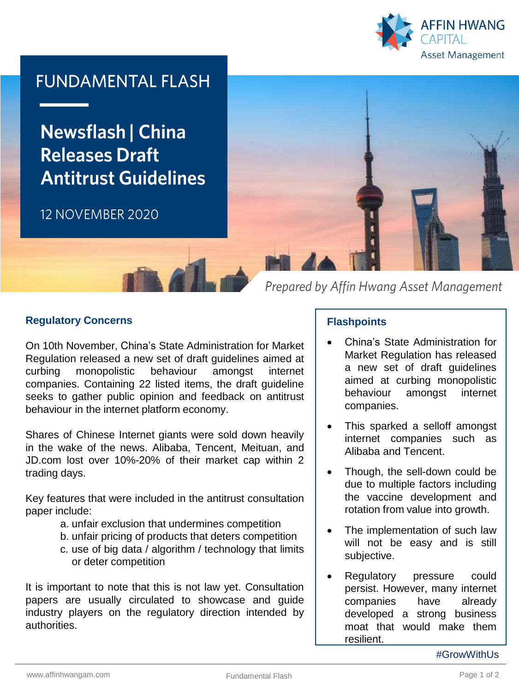

# **FUNDAMENTAL FLASH**

**Newsflash | China Releases Draft Antitrust Guidelines** 

## 12 NOVEMBER 2020



Prepared by Affin Hwang Asset Management

### **Regulatory Concerns**

On 10th November, China's State Administration for Market Regulation released a new set of draft guidelines aimed at curbing monopolistic behaviour amongst internet companies. Containing 22 listed items, the draft guideline seeks to gather public opinion and feedback on antitrust behaviour in the internet platform economy.

Shares of Chinese Internet giants were sold down heavily in the wake of the news. Alibaba, Tencent, Meituan, and JD.com lost over 10%-20% of their market cap within 2 trading days.

Key features that were included in the antitrust consultation paper include:

- a. unfair exclusion that undermines competition
- b. unfair pricing of products that deters competition
- c. use of big data / algorithm / technology that limits or deter competition

It is important to note that this is not law yet. Consultation papers are usually circulated to showcase and guide industry players on the regulatory direction intended by authorities.

### **Flashpoints**

- China's State Administration for Market Regulation has released a new set of draft guidelines aimed at curbing monopolistic behaviour amongst internet companies.
- This sparked a selloff amongst internet companies such as Alibaba and Tencent.
- Though, the sell-down could be due to multiple factors including the vaccine development and rotation from value into growth.
- The implementation of such law will not be easy and is still subjective.
- Regulatory pressure could persist. However, many internet companies have already developed a strong business moat that would make them resilient.